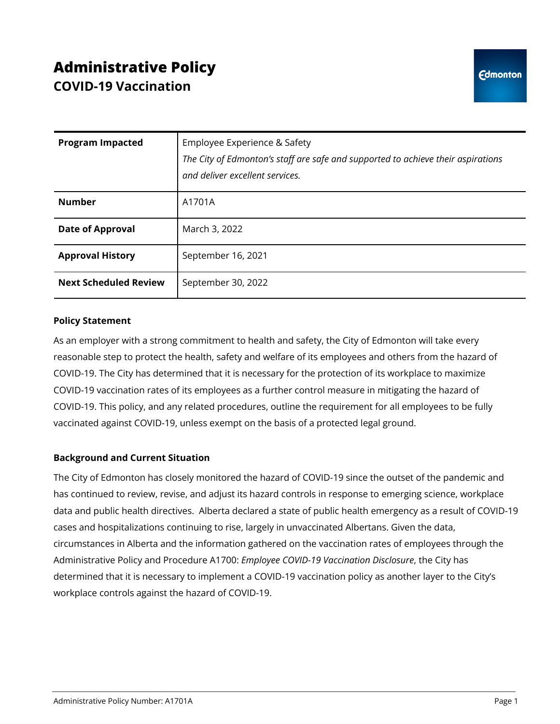# **Administrative Policy COVID-19 Vaccination**

| <b>Program Impacted</b>      | Employee Experience & Safety<br>The City of Edmonton's staff are safe and supported to achieve their aspirations<br>and deliver excellent services. |
|------------------------------|-----------------------------------------------------------------------------------------------------------------------------------------------------|
| <b>Number</b>                | A1701A                                                                                                                                              |
| <b>Date of Approval</b>      | March 3, 2022                                                                                                                                       |
| <b>Approval History</b>      | September 16, 2021                                                                                                                                  |
| <b>Next Scheduled Review</b> | September 30, 2022                                                                                                                                  |

## **Policy Statement**

As an employer with a strong commitment to health and safety, the City of Edmonton will take every reasonable step to protect the health, safety and welfare of its employees and others from the hazard of COVID-19. The City has determined that it is necessary for the protection of its workplace to maximize COVID-19 vaccination rates of its employees as a further control measure in mitigating the hazard of COVID-19. This policy, and any related procedures, outline the requirement for all employees to be fully vaccinated against COVID-19, unless exempt on the basis of a protected legal ground.

## **Background and Current Situation**

The City of Edmonton has closely monitored the hazard of COVID-19 since the outset of the pandemic and has continued to review, revise, and adjust its hazard controls in response to emerging science, workplace data and public health directives. Alberta declared a state of public health emergency as a result of COVID-19 cases and hospitalizations continuing to rise, largely in unvaccinated Albertans. Given the data, circumstances in Alberta and the information gathered on the vaccination rates of employees through the Administrative Policy and Procedure A1700: *Employee COVID-19 Vaccination Disclosure*, the City has determined that it is necessary to implement a COVID-19 vaccination policy as another layer to the City's workplace controls against the hazard of COVID-19.